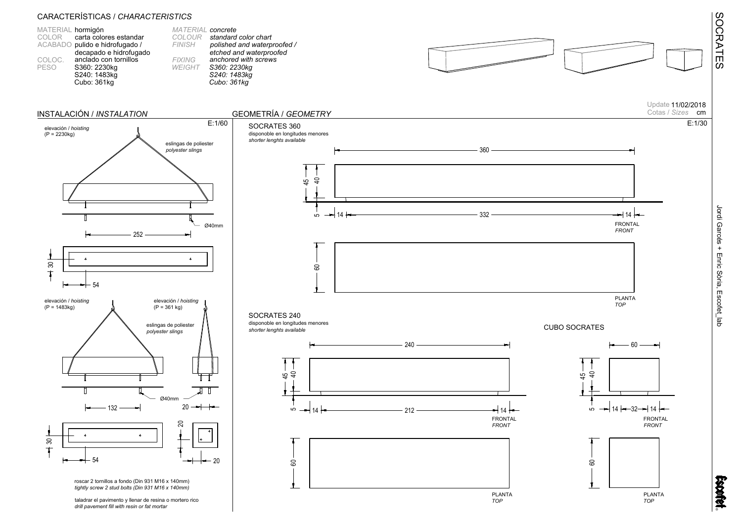

Update 11/02/2018